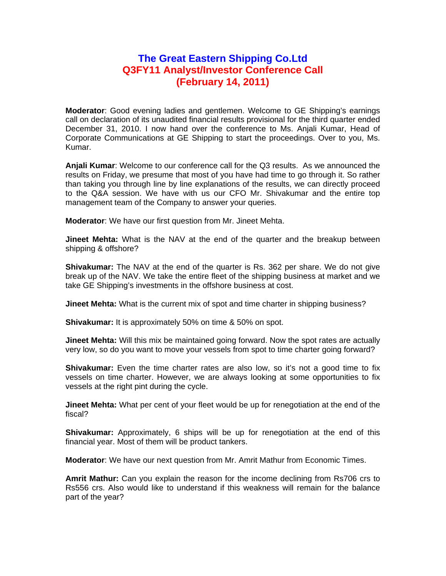## **The Great Eastern Shipping Co.Ltd Q3FY11 Analyst/Investor Conference Call (February 14, 2011)**

**Moderator**: Good evening ladies and gentlemen. Welcome to GE Shipping's earnings call on declaration of its unaudited financial results provisional for the third quarter ended December 31, 2010. I now hand over the conference to Ms. Anjali Kumar, Head of Corporate Communications at GE Shipping to start the proceedings. Over to you, Ms. Kumar.

**Anjali Kumar**: Welcome to our conference call for the Q3 results. As we announced the results on Friday, we presume that most of you have had time to go through it. So rather than taking you through line by line explanations of the results, we can directly proceed to the Q&A session. We have with us our CFO Mr. Shivakumar and the entire top management team of the Company to answer your queries.

**Moderator**: We have our first question from Mr. Jineet Mehta.

**Jineet Mehta:** What is the NAV at the end of the quarter and the breakup between shipping & offshore?

**Shivakumar:** The NAV at the end of the quarter is Rs. 362 per share. We do not give break up of the NAV. We take the entire fleet of the shipping business at market and we take GE Shipping's investments in the offshore business at cost.

**Jineet Mehta:** What is the current mix of spot and time charter in shipping business?

**Shivakumar:** It is approximately 50% on time & 50% on spot.

**Jineet Mehta:** Will this mix be maintained going forward. Now the spot rates are actually very low, so do you want to move your vessels from spot to time charter going forward?

**Shivakumar:** Even the time charter rates are also low, so it's not a good time to fix vessels on time charter. However, we are always looking at some opportunities to fix vessels at the right pint during the cycle.

**Jineet Mehta:** What per cent of your fleet would be up for renegotiation at the end of the fiscal?

**Shivakumar:** Approximately, 6 ships will be up for renegotiation at the end of this financial year. Most of them will be product tankers.

**Moderator**: We have our next question from Mr. Amrit Mathur from Economic Times.

**Amrit Mathur:** Can you explain the reason for the income declining from Rs706 crs to Rs556 crs. Also would like to understand if this weakness will remain for the balance part of the year?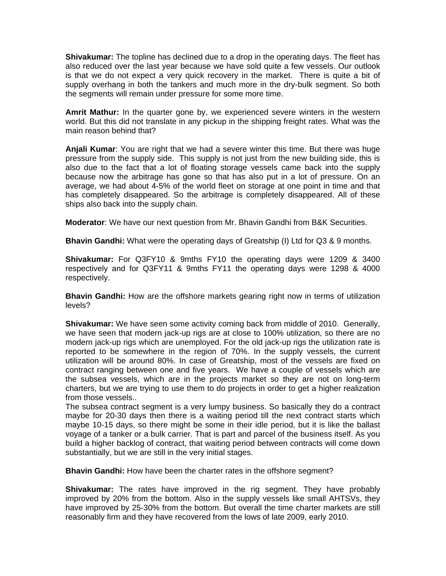**Shivakumar:** The topline has declined due to a drop in the operating days. The fleet has also reduced over the last year because we have sold quite a few vessels. Our outlook is that we do not expect a very quick recovery in the market. There is quite a bit of supply overhang in both the tankers and much more in the dry-bulk segment. So both the segments will remain under pressure for some more time.

**Amrit Mathur:** In the quarter gone by, we experienced severe winters in the western world. But this did not translate in any pickup in the shipping freight rates. What was the main reason behind that?

**Anjali Kumar**: You are right that we had a severe winter this time. But there was huge pressure from the supply side. This supply is not just from the new building side, this is also due to the fact that a lot of floating storage vessels came back into the supply because now the arbitrage has gone so that has also put in a lot of pressure. On an average, we had about 4-5% of the world fleet on storage at one point in time and that has completely disappeared. So the arbitrage is completely disappeared. All of these ships also back into the supply chain.

**Moderator**: We have our next question from Mr. Bhavin Gandhi from B&K Securities.

**Bhavin Gandhi:** What were the operating days of Greatship (I) Ltd for Q3 & 9 months.

**Shivakumar:** For Q3FY10 & 9mths FY10 the operating days were 1209 & 3400 respectively and for Q3FY11 & 9mths FY11 the operating days were 1298 & 4000 respectively.

**Bhavin Gandhi:** How are the offshore markets gearing right now in terms of utilization levels?

**Shivakumar:** We have seen some activity coming back from middle of 2010. Generally, we have seen that modern jack-up rigs are at close to 100% utilization, so there are no modern jack-up rigs which are unemployed. For the old jack-up rigs the utilization rate is reported to be somewhere in the region of 70%. In the supply vessels, the current utilization will be around 80%. In case of Greatship, most of the vessels are fixed on contract ranging between one and five years. We have a couple of vessels which are the subsea vessels, which are in the projects market so they are not on long-term charters, but we are trying to use them to do projects in order to get a higher realization from those vessels..

The subsea contract segment is a very lumpy business. So basically they do a contract maybe for 20-30 days then there is a waiting period till the next contract starts which maybe 10-15 days, so there might be some in their idle period, but it is like the ballast voyage of a tanker or a bulk carrier. That is part and parcel of the business itself. As you build a higher backlog of contract, that waiting period between contracts will come down substantially, but we are still in the very initial stages.

**Bhavin Gandhi:** How have been the charter rates in the offshore segment?

**Shivakumar:** The rates have improved in the rig segment. They have probably improved by 20% from the bottom. Also in the supply vessels like small AHTSVs, they have improved by 25-30% from the bottom. But overall the time charter markets are still reasonably firm and they have recovered from the lows of late 2009, early 2010.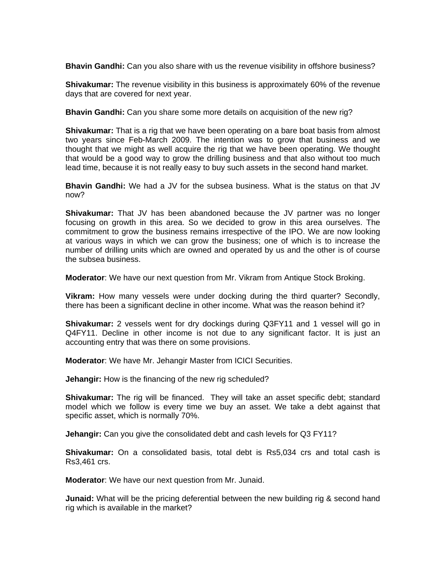**Bhavin Gandhi:** Can you also share with us the revenue visibility in offshore business?

**Shivakumar:** The revenue visibility in this business is approximately 60% of the revenue days that are covered for next year.

**Bhavin Gandhi:** Can you share some more details on acquisition of the new rig?

**Shivakumar:** That is a rig that we have been operating on a bare boat basis from almost two years since Feb-March 2009. The intention was to grow that business and we thought that we might as well acquire the rig that we have been operating. We thought that would be a good way to grow the drilling business and that also without too much lead time, because it is not really easy to buy such assets in the second hand market.

**Bhavin Gandhi:** We had a JV for the subsea business. What is the status on that JV now?

**Shivakumar:** That JV has been abandoned because the JV partner was no longer focusing on growth in this area. So we decided to grow in this area ourselves. The commitment to grow the business remains irrespective of the IPO. We are now looking at various ways in which we can grow the business; one of which is to increase the number of drilling units which are owned and operated by us and the other is of course the subsea business.

**Moderator**: We have our next question from Mr. Vikram from Antique Stock Broking.

**Vikram:** How many vessels were under docking during the third quarter? Secondly, there has been a significant decline in other income. What was the reason behind it?

**Shivakumar:** 2 vessels went for dry dockings during Q3FY11 and 1 vessel will go in Q4FY11. Decline in other income is not due to any significant factor. It is just an accounting entry that was there on some provisions.

**Moderator**: We have Mr. Jehangir Master from ICICI Securities.

**Jehangir:** How is the financing of the new rig scheduled?

**Shivakumar:** The rig will be financed. They will take an asset specific debt; standard model which we follow is every time we buy an asset. We take a debt against that specific asset, which is normally 70%.

**Jehangir:** Can you give the consolidated debt and cash levels for Q3 FY11?

**Shivakumar:** On a consolidated basis, total debt is Rs5,034 crs and total cash is Rs3,461 crs.

**Moderator**: We have our next question from Mr. Junaid.

**Junaid:** What will be the pricing deferential between the new building rig & second hand rig which is available in the market?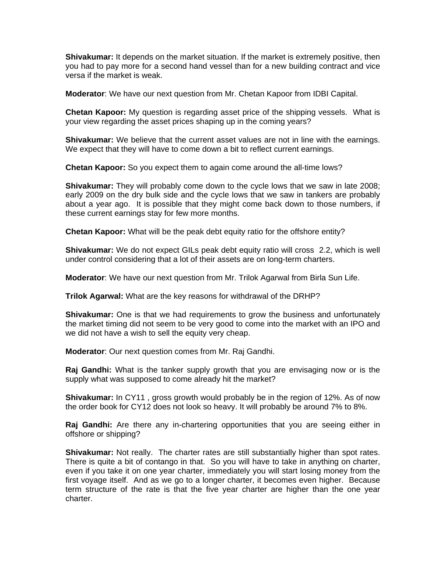**Shivakumar:** It depends on the market situation. If the market is extremely positive, then you had to pay more for a second hand vessel than for a new building contract and vice versa if the market is weak.

**Moderator**: We have our next question from Mr. Chetan Kapoor from IDBI Capital.

**Chetan Kapoor:** My question is regarding asset price of the shipping vessels. What is your view regarding the asset prices shaping up in the coming years?

**Shivakumar:** We believe that the current asset values are not in line with the earnings. We expect that they will have to come down a bit to reflect current earnings.

**Chetan Kapoor:** So you expect them to again come around the all-time lows?

**Shivakumar:** They will probably come down to the cycle lows that we saw in late 2008; early 2009 on the dry bulk side and the cycle lows that we saw in tankers are probably about a year ago. It is possible that they might come back down to those numbers, if these current earnings stay for few more months.

**Chetan Kapoor:** What will be the peak debt equity ratio for the offshore entity?

**Shivakumar:** We do not expect GILs peak debt equity ratio will cross 2.2, which is well under control considering that a lot of their assets are on long-term charters.

**Moderator**: We have our next question from Mr. Trilok Agarwal from Birla Sun Life.

**Trilok Agarwal:** What are the key reasons for withdrawal of the DRHP?

**Shivakumar:** One is that we had requirements to grow the business and unfortunately the market timing did not seem to be very good to come into the market with an IPO and we did not have a wish to sell the equity very cheap.

**Moderator**: Our next question comes from Mr. Raj Gandhi.

**Raj Gandhi:** What is the tanker supply growth that you are envisaging now or is the supply what was supposed to come already hit the market?

**Shivakumar:** In CY11 , gross growth would probably be in the region of 12%. As of now the order book for CY12 does not look so heavy. It will probably be around 7% to 8%.

**Raj Gandhi:** Are there any in-chartering opportunities that you are seeing either in offshore or shipping?

**Shivakumar:** Not really. The charter rates are still substantially higher than spot rates. There is quite a bit of contango in that. So you will have to take in anything on charter, even if you take it on one year charter, immediately you will start losing money from the first voyage itself. And as we go to a longer charter, it becomes even higher. Because term structure of the rate is that the five year charter are higher than the one year charter.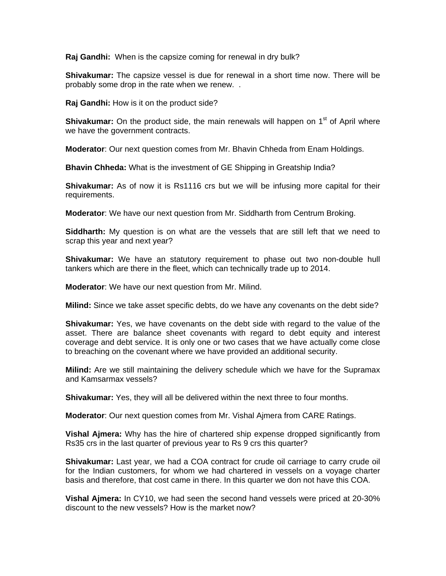**Raj Gandhi:** When is the capsize coming for renewal in dry bulk?

**Shivakumar:** The capsize vessel is due for renewal in a short time now. There will be probably some drop in the rate when we renew. .

**Raj Gandhi:** How is it on the product side?

**Shivakumar:** On the product side, the main renewals will happen on 1<sup>st</sup> of April where we have the government contracts.

**Moderator**: Our next question comes from Mr. Bhavin Chheda from Enam Holdings.

**Bhavin Chheda:** What is the investment of GE Shipping in Greatship India?

**Shivakumar:** As of now it is Rs1116 crs but we will be infusing more capital for their requirements.

**Moderator**: We have our next question from Mr. Siddharth from Centrum Broking.

**Siddharth:** My question is on what are the vessels that are still left that we need to scrap this year and next year?

**Shivakumar:** We have an statutory requirement to phase out two non-double hull tankers which are there in the fleet, which can technically trade up to 2014.

**Moderator**: We have our next question from Mr. Milind.

**Milind:** Since we take asset specific debts, do we have any covenants on the debt side?

**Shivakumar:** Yes, we have covenants on the debt side with regard to the value of the asset. There are balance sheet covenants with regard to debt equity and interest coverage and debt service. It is only one or two cases that we have actually come close to breaching on the covenant where we have provided an additional security.

**Milind:** Are we still maintaining the delivery schedule which we have for the Supramax and Kamsarmax vessels?

**Shivakumar:** Yes, they will all be delivered within the next three to four months.

**Moderator**: Our next question comes from Mr. Vishal Ajmera from CARE Ratings.

**Vishal Ajmera:** Why has the hire of chartered ship expense dropped significantly from Rs35 crs in the last quarter of previous year to Rs 9 crs this quarter?

**Shivakumar:** Last year, we had a COA contract for crude oil carriage to carry crude oil for the Indian customers, for whom we had chartered in vessels on a voyage charter basis and therefore, that cost came in there. In this quarter we don not have this COA.

**Vishal Ajmera:** In CY10, we had seen the second hand vessels were priced at 20-30% discount to the new vessels? How is the market now?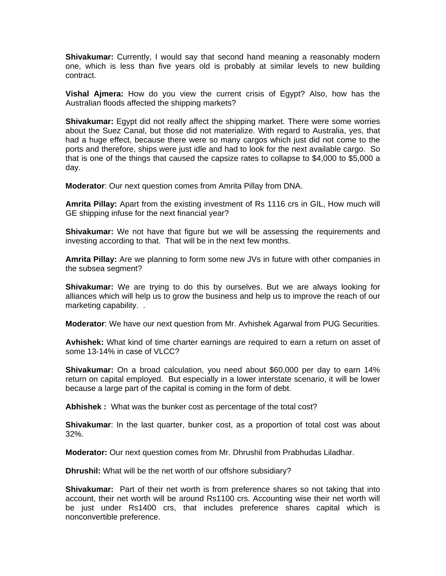**Shivakumar:** Currently, I would say that second hand meaning a reasonably modern one, which is less than five years old is probably at similar levels to new building contract.

**Vishal Ajmera:** How do you view the current crisis of Egypt? Also, how has the Australian floods affected the shipping markets?

**Shivakumar:** Egypt did not really affect the shipping market. There were some worries about the Suez Canal, but those did not materialize. With regard to Australia, yes, that had a huge effect, because there were so many cargos which just did not come to the ports and therefore, ships were just idle and had to look for the next available cargo. So that is one of the things that caused the capsize rates to collapse to \$4,000 to \$5,000 a day.

**Moderator**: Our next question comes from Amrita Pillay from DNA.

**Amrita Pillay:** Apart from the existing investment of Rs 1116 crs in GIL, How much will GE shipping infuse for the next financial year?

**Shivakumar:** We not have that figure but we will be assessing the requirements and investing according to that. That will be in the next few months.

**Amrita Pillay:** Are we planning to form some new JVs in future with other companies in the subsea segment?

**Shivakumar:** We are trying to do this by ourselves. But we are always looking for alliances which will help us to grow the business and help us to improve the reach of our marketing capability. .

**Moderator**: We have our next question from Mr. Avhishek Agarwal from PUG Securities.

**Avhishek:** What kind of time charter earnings are required to earn a return on asset of some 13-14% in case of VLCC?

**Shivakumar:** On a broad calculation, you need about \$60,000 per day to earn 14% return on capital employed. But especially in a lower interstate scenario, it will be lower because a large part of the capital is coming in the form of debt.

**Abhishek :** What was the bunker cost as percentage of the total cost?

**Shivakumar**: In the last quarter, bunker cost, as a proportion of total cost was about 32%.

**Moderator:** Our next question comes from Mr. Dhrushil from Prabhudas Liladhar.

**Dhrushil:** What will be the net worth of our offshore subsidiary?

**Shivakumar:** Part of their net worth is from preference shares so not taking that into account, their net worth will be around Rs1100 crs. Accounting wise their net worth will be just under Rs1400 crs, that includes preference shares capital which is nonconvertible preference.